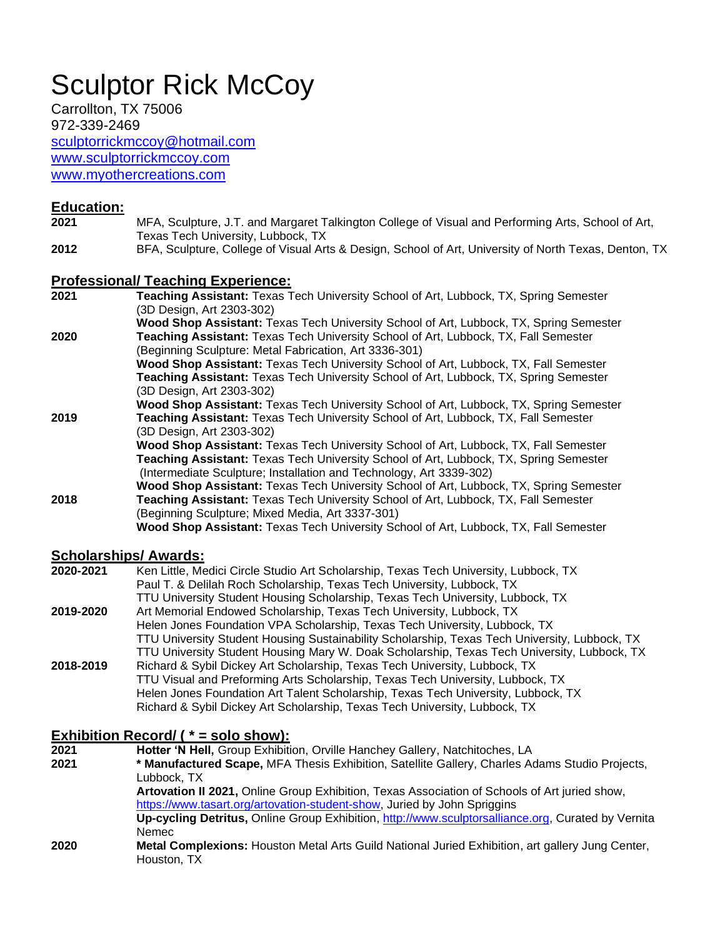# Sculptor Rick McCoy

Carrollton, TX 75006 972-339-2469 [sculptorrickmccoy@hotmail.com](mailto:sculptorrickmccoy@hotmail.com) [www.sculptorrickmccoy.com](http://www.sculptorrickmccoy.com/)

[www.myothercreations.com](http://www.myothercreations.com/)

#### **Education:**

- **2021** MFA, Sculpture, J.T. and Margaret Talkington College of Visual and Performing Arts, School of Art, Texas Tech University, Lubbock, TX
- **2012** BFA, Sculpture, College of Visual Arts & Design, School of Art, University of North Texas, Denton, TX

#### **Professional/ Teaching Experience:**

**2021 Teaching Assistant:** Texas Tech University School of Art, Lubbock, TX, Spring Semester (3D Design, Art 2303-302) **Wood Shop Assistant:** Texas Tech University School of Art, Lubbock, TX, Spring Semester **2020 Teaching Assistant:** Texas Tech University School of Art, Lubbock, TX, Fall Semester (Beginning Sculpture: Metal Fabrication, Art 3336-301) **Wood Shop Assistant:** Texas Tech University School of Art, Lubbock, TX, Fall Semester **Teaching Assistant:** Texas Tech University School of Art, Lubbock, TX, Spring Semester (3D Design, Art 2303-302) **Wood Shop Assistant:** Texas Tech University School of Art, Lubbock, TX, Spring Semester **2019 Teaching Assistant:** Texas Tech University School of Art, Lubbock, TX, Fall Semester (3D Design, Art 2303-302) **Wood Shop Assistant:** Texas Tech University School of Art, Lubbock, TX, Fall Semester **Teaching Assistant:** Texas Tech University School of Art, Lubbock, TX, Spring Semester (Intermediate Sculpture; Installation and Technology, Art 3339-302) **Wood Shop Assistant:** Texas Tech University School of Art, Lubbock, TX, Spring Semester **2018 Teaching Assistant:** Texas Tech University School of Art, Lubbock, TX, Fall Semester (Beginning Sculpture; Mixed Media, Art 3337-301) **Wood Shop Assistant:** Texas Tech University School of Art, Lubbock, TX, Fall Semester

### **Scholarships/ Awards:**

| 2020-2021 | Ken Little, Medici Circle Studio Art Scholarship, Texas Tech University, Lubbock, TX          |
|-----------|-----------------------------------------------------------------------------------------------|
|           | Paul T. & Delilah Roch Scholarship, Texas Tech University, Lubbock, TX                        |
|           | TTU University Student Housing Scholarship, Texas Tech University, Lubbock, TX                |
| 2019-2020 | Art Memorial Endowed Scholarship, Texas Tech University, Lubbock, TX                          |
|           | Helen Jones Foundation VPA Scholarship, Texas Tech University, Lubbock, TX                    |
|           | TTU University Student Housing Sustainability Scholarship, Texas Tech University, Lubbock, TX |
|           | TTU University Student Housing Mary W. Doak Scholarship, Texas Tech University, Lubbock, TX   |
| 2018-2019 | Richard & Sybil Dickey Art Scholarship, Texas Tech University, Lubbock, TX                    |
|           | TTU Visual and Preforming Arts Scholarship, Texas Tech University, Lubbock, TX                |
|           | Helen Jones Foundation Art Talent Scholarship, Texas Tech University, Lubbock, TX             |
|           | Richard & Sybil Dickey Art Scholarship, Texas Tech University, Lubbock, TX                    |

### **Exhibition Record/ ( \* = solo show):**

| 2021 | Hotter 'N Hell, Group Exhibition, Orville Hanchey Gallery, Natchitoches, LA                             |
|------|---------------------------------------------------------------------------------------------------------|
| 2021 | * Manufactured Scape, MFA Thesis Exhibition, Satellite Gallery, Charles Adams Studio Projects,          |
|      | Lubbock. TX                                                                                             |
|      | Artovation II 2021, Online Group Exhibition, Texas Association of Schools of Art juried show,           |
|      | https://www.tasart.org/artovation-student-show, Juried by John Spriggins                                |
|      | Up-cycling Detritus, Online Group Exhibition, http://www.sculptorsalliance.org, Curated by Vernita      |
|      | Nemec                                                                                                   |
| 2020 | <b>Metal Complexions:</b> Houston Metal Arts Guild National Juried Exhibition, art gallery Jung Center, |
|      | Houston, TX                                                                                             |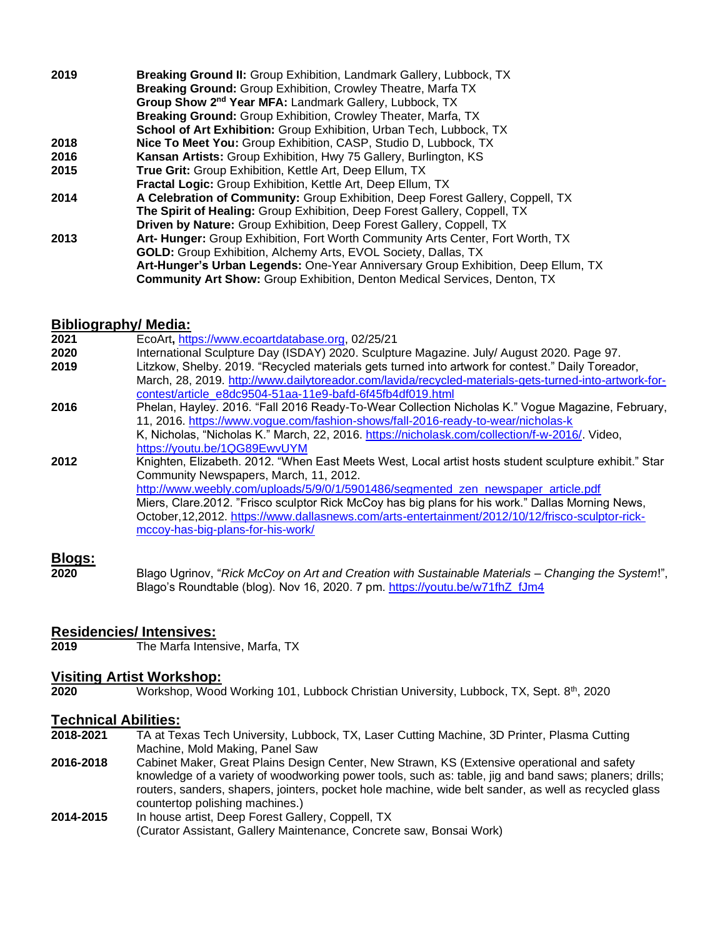| 2019 | <b>Breaking Ground II:</b> Group Exhibition, Landmark Gallery, Lubbock, TX<br><b>Breaking Ground: Group Exhibition, Crowley Theatre, Marfa TX</b> |
|------|---------------------------------------------------------------------------------------------------------------------------------------------------|
|      | Group Show 2 <sup>nd</sup> Year MFA: Landmark Gallery, Lubbock, TX                                                                                |
|      | <b>Breaking Ground: Group Exhibition, Crowley Theater, Marfa, TX</b>                                                                              |
|      |                                                                                                                                                   |
|      | School of Art Exhibition: Group Exhibition, Urban Tech, Lubbock, TX                                                                               |
| 2018 | <b>Nice To Meet You: Group Exhibition, CASP, Studio D, Lubbock, TX</b>                                                                            |
| 2016 | Kansan Artists: Group Exhibition, Hwy 75 Gallery, Burlington, KS                                                                                  |
| 2015 | True Grit: Group Exhibition, Kettle Art, Deep Ellum, TX                                                                                           |
|      | <b>Fractal Logic:</b> Group Exhibition, Kettle Art, Deep Ellum, TX                                                                                |
| 2014 | A Celebration of Community: Group Exhibition, Deep Forest Gallery, Coppell, TX                                                                    |
|      | <b>The Spirit of Healing:</b> Group Exhibition, Deep Forest Gallery, Coppell, TX                                                                  |
|      | <b>Driven by Nature:</b> Group Exhibition, Deep Forest Gallery, Coppell, TX                                                                       |
| 2013 | Art- Hunger: Group Exhibition, Fort Worth Community Arts Center, Fort Worth, TX                                                                   |
|      | <b>GOLD:</b> Group Exhibition, Alchemy Arts, EVOL Society, Dallas, TX                                                                             |
|      | Art-Hunger's Urban Legends: One-Year Anniversary Group Exhibition, Deep Ellum, TX                                                                 |
|      | <b>Community Art Show:</b> Group Exhibition, Denton Medical Services, Denton, TX                                                                  |

#### **Bibliography/ Media:**

|      | $-$ , , , , ,                                                                                         |
|------|-------------------------------------------------------------------------------------------------------|
| 2021 | EcoArt, https://www.ecoartdatabase.org, 02/25/21                                                      |
| 2020 | International Sculpture Day (ISDAY) 2020. Sculpture Magazine. July/ August 2020. Page 97.             |
| 2019 | Litzkow, Shelby. 2019. "Recycled materials gets turned into artwork for contest." Daily Toreador,     |
|      | March, 28, 2019. http://www.dailytoreador.com/lavida/recycled-materials-gets-turned-into-artwork-for- |
|      | contest/article e8dc9504-51aa-11e9-bafd-6f45fb4df019.html                                             |
| 2016 | Phelan, Hayley. 2016. "Fall 2016 Ready-To-Wear Collection Nicholas K." Vogue Magazine, February,      |
|      | 11, 2016. https://www.vogue.com/fashion-shows/fall-2016-ready-to-wear/nicholas-k                      |
|      | K, Nicholas, "Nicholas K." March, 22, 2016. https://nicholask.com/collection/f-w-2016/. Video,        |
|      | https://youtu.be/1QG89EwvUYM                                                                          |
| 2012 | Knighten, Elizabeth. 2012. "When East Meets West, Local artist hosts student sculpture exhibit." Star |
|      | Community Newspapers, March, 11, 2012.                                                                |
|      | http://www.weebly.com/uploads/5/9/0/1/5901486/segmented zen newspaper article.pdf                     |
|      | Miers, Clare.2012. "Frisco sculptor Rick McCoy has big plans for his work." Dallas Morning News,      |
|      | October, 12, 2012. https://www.dallasnews.com/arts-entertainment/2012/10/12/frisco-sculptor-rick-     |
|      | mccoy-has-big-plans-for-his-work/                                                                     |
|      |                                                                                                       |
|      |                                                                                                       |

# **Blogs:**

**2020** Blago Ugrinov, "*Rick McCoy on Art and Creation with Sustainable Materials – Changing the System*!", Blago's Roundtable (blog). Nov 16, 2020. 7 pm. [https://youtu.be/w71fhZ\\_fJm4](https://nam04.safelinks.protection.outlook.com/?url=https%3A%2F%2Fyoutu.be%2Fw71fhZ_fJm4&data=04%7C01%7Csculptor.rick.mccoy%40ttu.edu%7C13d6870247144d184fb308d8a68ef03d%7C178a51bf8b2049ffb65556245d5c173c%7C0%7C0%7C637442480140037770%7CUnknown%7CTWFpbGZsb3d8eyJWIjoiMC4wLjAwMDAiLCJQIjoiV2luMzIiLCJBTiI6Ik1haWwiLCJXVCI6Mn0%3D%7C1000&sdata=JEQYbyhIRxZ7UJdRTSjRgQl39H9QgwwlUuA716MOSlc%3D&reserved=0)

#### **Residencies/ Intensives:**

**2019** The Marfa Intensive, Marfa, TX

# **Visiting Artist Workshop:**

**2020** Workshop, Wood Working 101, Lubbock Christian University, Lubbock, TX, Sept. 8th, 2020

# **Technical Abilities:**

- **2018-2021** TA at Texas Tech University, Lubbock, TX, Laser Cutting Machine, 3D Printer, Plasma Cutting Machine, Mold Making, Panel Saw
- **2016-2018** Cabinet Maker, Great Plains Design Center, New Strawn, KS (Extensive operational and safety knowledge of a variety of woodworking power tools, such as: table, jig and band saws; planers; drills; routers, sanders, shapers, jointers, pocket hole machine, wide belt sander, as well as recycled glass countertop polishing machines.)
- **2014-2015** In house artist, Deep Forest Gallery, Coppell, TX (Curator Assistant, Gallery Maintenance, Concrete saw, Bonsai Work)